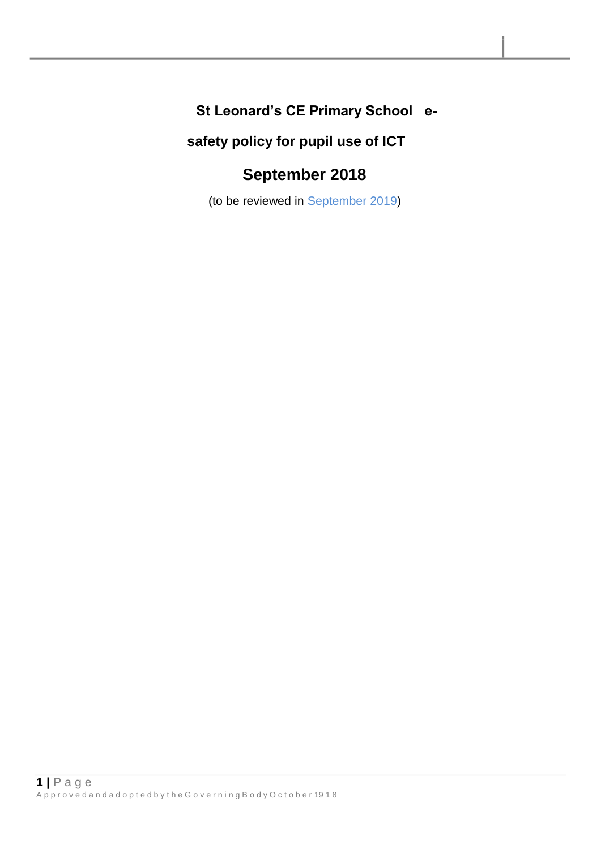# **St Leonard's CE Primary School e-**

# **safety policy for pupil use of ICT**

# **September 2018**

(to be reviewed in September 2019)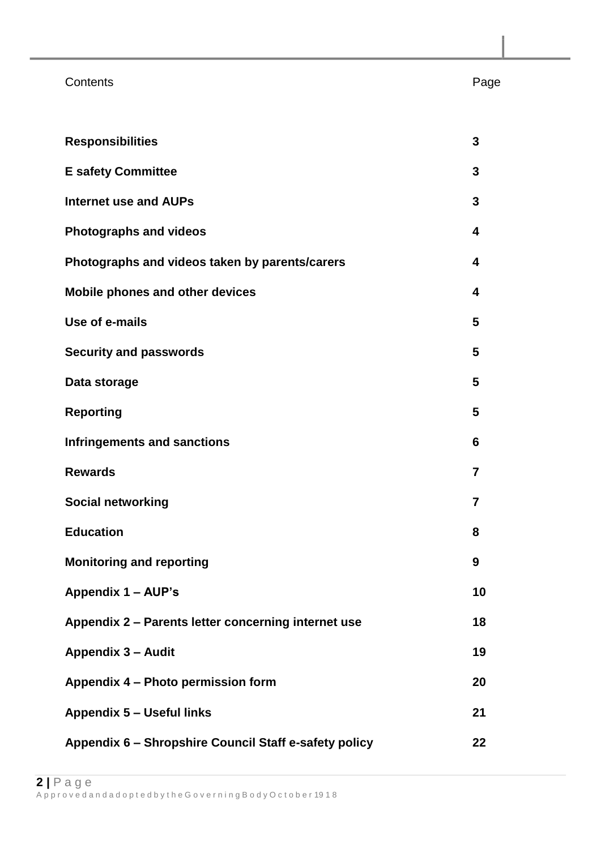### Contents **Page**

| <b>Responsibilities</b>                               | 3                       |
|-------------------------------------------------------|-------------------------|
| <b>E</b> safety Committee                             | 3                       |
| <b>Internet use and AUPs</b>                          | 3                       |
| <b>Photographs and videos</b>                         | 4                       |
| Photographs and videos taken by parents/carers        | 4                       |
| <b>Mobile phones and other devices</b>                | $\overline{\mathbf{4}}$ |
| Use of e-mails                                        | 5                       |
| <b>Security and passwords</b>                         | 5                       |
| Data storage                                          | 5                       |
| <b>Reporting</b>                                      | 5                       |
| <b>Infringements and sanctions</b>                    | 6                       |
| <b>Rewards</b>                                        | $\overline{7}$          |
| <b>Social networking</b>                              | $\overline{7}$          |
| <b>Education</b>                                      | 8                       |
| <b>Monitoring and reporting</b>                       | 9                       |
| Appendix 1 - AUP's                                    | 10                      |
| Appendix 2 - Parents letter concerning internet use   | 18                      |
| <b>Appendix 3 - Audit</b>                             | 19                      |
| Appendix 4 - Photo permission form                    | 20                      |
| <b>Appendix 5 - Useful links</b>                      | 21                      |
| Appendix 6 - Shropshire Council Staff e-safety policy | 22                      |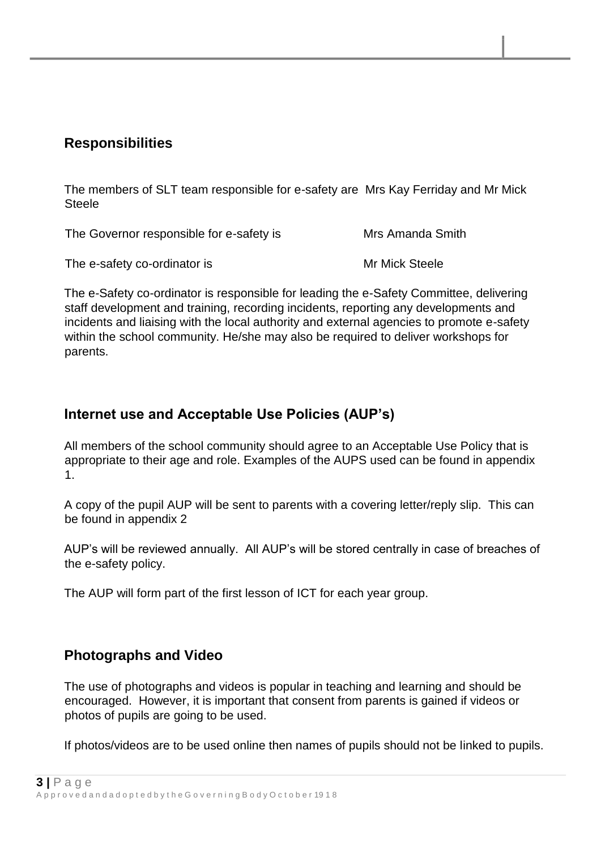#### **Responsibilities**

The members of SLT team responsible for e-safety are Mrs Kay Ferriday and Mr Mick **Steele** 

The Governor responsible for e-safety is Mrs Amanda Smith

The e-safety co-ordinator is Mr Mick Steele

The e-Safety co-ordinator is responsible for leading the e-Safety Committee, delivering staff development and training, recording incidents, reporting any developments and incidents and liaising with the local authority and external agencies to promote e-safety within the school community. He/she may also be required to deliver workshops for parents.

## **Internet use and Acceptable Use Policies (AUP's)**

All members of the school community should agree to an Acceptable Use Policy that is appropriate to their age and role. Examples of the AUPS used can be found in appendix 1.

A copy of the pupil AUP will be sent to parents with a covering letter/reply slip. This can be found in appendix 2

AUP's will be reviewed annually. All AUP's will be stored centrally in case of breaches of the e-safety policy.

The AUP will form part of the first lesson of ICT for each year group.

### **Photographs and Video**

The use of photographs and videos is popular in teaching and learning and should be encouraged. However, it is important that consent from parents is gained if videos or photos of pupils are going to be used.

If photos/videos are to be used online then names of pupils should not be linked to pupils.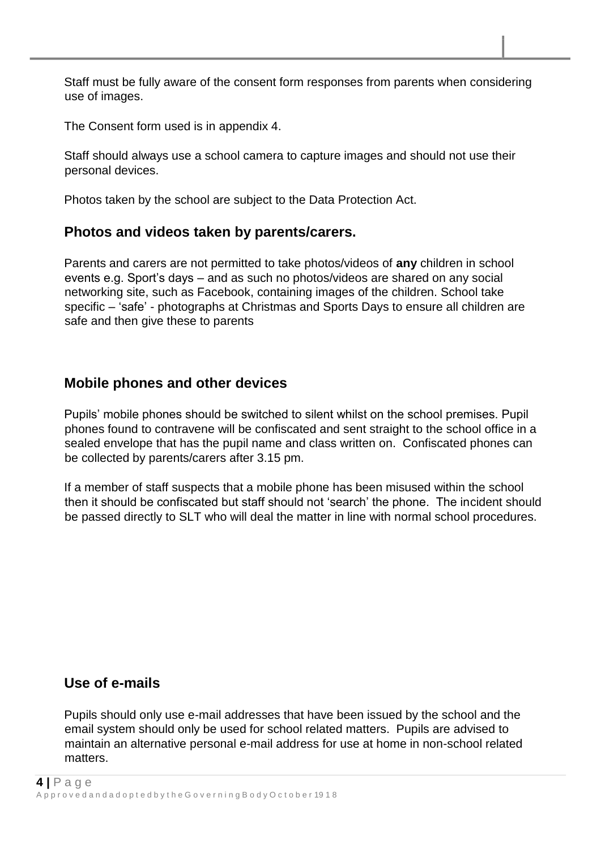Staff must be fully aware of the consent form responses from parents when considering use of images.

The Consent form used is in appendix 4.

Staff should always use a school camera to capture images and should not use their personal devices.

Photos taken by the school are subject to the Data Protection Act.

#### **Photos and videos taken by parents/carers.**

Parents and carers are not permitted to take photos/videos of **any** children in school events e.g. Sport's days – and as such no photos/videos are shared on any social networking site, such as Facebook, containing images of the children. School take specific – 'safe' - photographs at Christmas and Sports Days to ensure all children are safe and then give these to parents

### **Mobile phones and other devices**

Pupils' mobile phones should be switched to silent whilst on the school premises. Pupil phones found to contravene will be confiscated and sent straight to the school office in a sealed envelope that has the pupil name and class written on. Confiscated phones can be collected by parents/carers after 3.15 pm.

If a member of staff suspects that a mobile phone has been misused within the school then it should be confiscated but staff should not 'search' the phone. The incident should be passed directly to SLT who will deal the matter in line with normal school procedures.

#### **Use of e-mails**

Pupils should only use e-mail addresses that have been issued by the school and the email system should only be used for school related matters. Pupils are advised to maintain an alternative personal e-mail address for use at home in non-school related matters.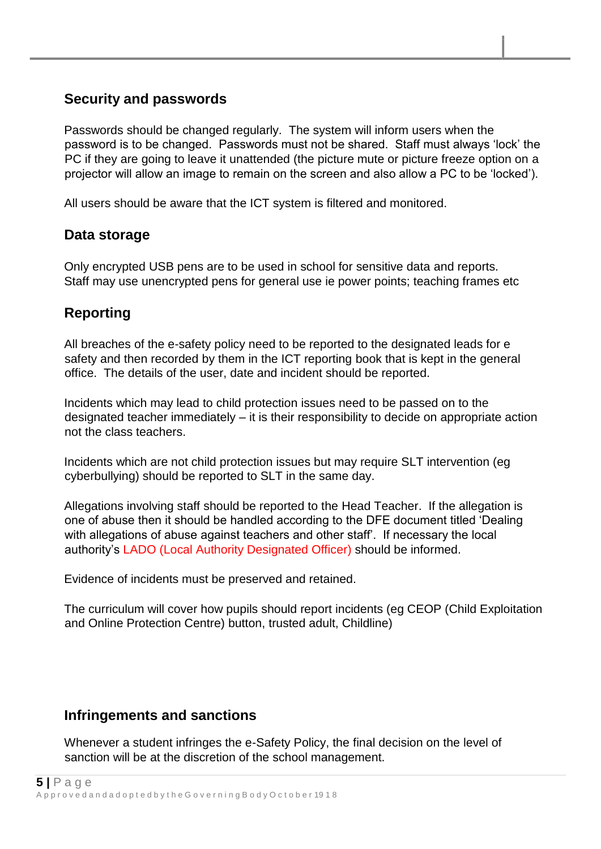## **Security and passwords**

Passwords should be changed regularly. The system will inform users when the password is to be changed. Passwords must not be shared. Staff must always 'lock' the PC if they are going to leave it unattended (the picture mute or picture freeze option on a projector will allow an image to remain on the screen and also allow a PC to be 'locked').

All users should be aware that the ICT system is filtered and monitored.

#### **Data storage**

Only encrypted USB pens are to be used in school for sensitive data and reports. Staff may use unencrypted pens for general use ie power points; teaching frames etc

## **Reporting**

All breaches of the e-safety policy need to be reported to the designated leads for e safety and then recorded by them in the ICT reporting book that is kept in the general office. The details of the user, date and incident should be reported.

Incidents which may lead to child protection issues need to be passed on to the designated teacher immediately – it is their responsibility to decide on appropriate action not the class teachers.

Incidents which are not child protection issues but may require SLT intervention (eg cyberbullying) should be reported to SLT in the same day.

Allegations involving staff should be reported to the Head Teacher. If the allegation is one of abuse then it should be handled according to the DFE document titled 'Dealing with allegations of abuse against teachers and other staff'. If necessary the local authority's LADO (Local Authority Designated Officer) should be informed.

Evidence of incidents must be preserved and retained.

The curriculum will cover how pupils should report incidents (eg CEOP (Child Exploitation and Online Protection Centre) button, trusted adult, Childline)

### **Infringements and sanctions**

Whenever a student infringes the e-Safety Policy, the final decision on the level of sanction will be at the discretion of the school management.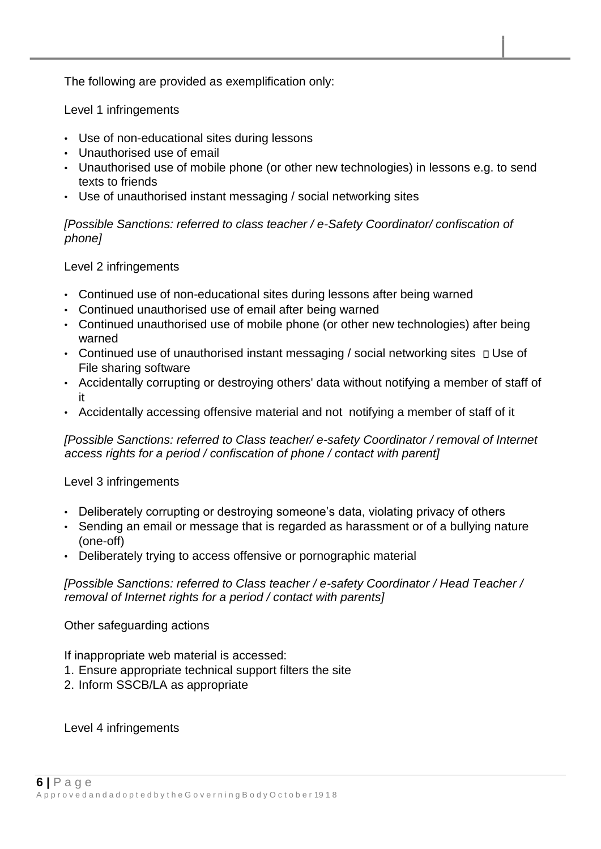The following are provided as exemplification only:

Level 1 infringements

- Use of non-educational sites during lessons
- Unauthorised use of email
- Unauthorised use of mobile phone (or other new technologies) in lessons e.g. to send texts to friends
- Use of unauthorised instant messaging / social networking sites

*[Possible Sanctions: referred to class teacher / e-Safety Coordinator/ confiscation of phone]* 

#### Level 2 infringements

- Continued use of non-educational sites during lessons after being warned
- Continued unauthorised use of email after being warned
- Continued unauthorised use of mobile phone (or other new technologies) after being warned
- Continued use of unauthorised instant messaging / social networking sites  $\Box$  Use of File sharing software
- Accidentally corrupting or destroying others' data without notifying a member of staff of it
- Accidentally accessing offensive material and not notifying a member of staff of it

*[Possible Sanctions: referred to Class teacher/ e-safety Coordinator / removal of Internet access rights for a period / confiscation of phone / contact with parent]* 

#### Level 3 infringements

- Deliberately corrupting or destroying someone's data, violating privacy of others
- Sending an email or message that is regarded as harassment or of a bullying nature (one-off)
- Deliberately trying to access offensive or pornographic material

*[Possible Sanctions: referred to Class teacher / e-safety Coordinator / Head Teacher / removal of Internet rights for a period / contact with parents]* 

Other safeguarding actions

If inappropriate web material is accessed:

- 1. Ensure appropriate technical support filters the site
- 2. Inform SSCB/LA as appropriate

Level 4 infringements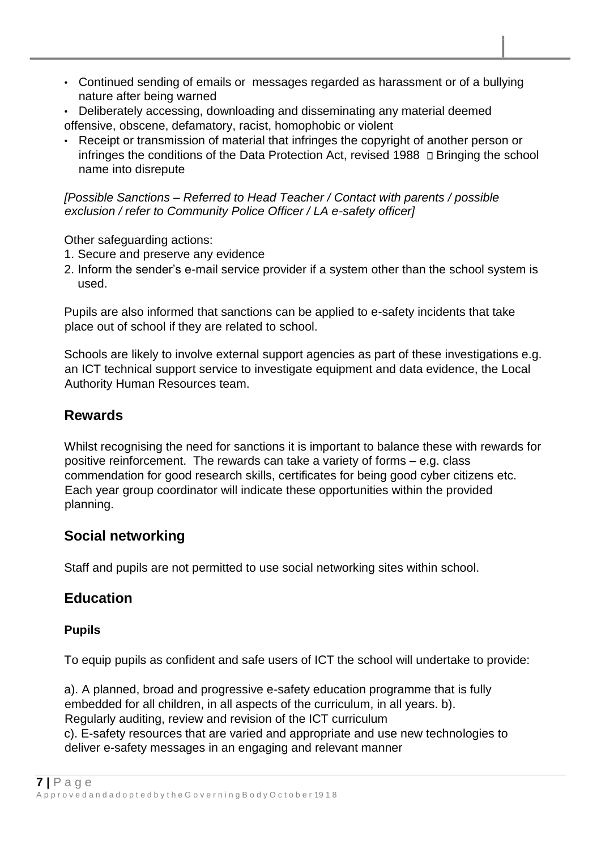- Continued sending of emails or messages regarded as harassment or of a bullying nature after being warned
- Deliberately accessing, downloading and disseminating any material deemed offensive, obscene, defamatory, racist, homophobic or violent
- Receipt or transmission of material that infringes the copyright of another person or infringes the conditions of the Data Protection Act, revised 1988  $\Box$  Bringing the school name into disrepute

*[Possible Sanctions – Referred to Head Teacher / Contact with parents / possible exclusion / refer to Community Police Officer / LA e-safety officer]* 

Other safeguarding actions:

- 1. Secure and preserve any evidence
- 2. Inform the sender's e-mail service provider if a system other than the school system is used.

Pupils are also informed that sanctions can be applied to e-safety incidents that take place out of school if they are related to school.

Schools are likely to involve external support agencies as part of these investigations e.g. an ICT technical support service to investigate equipment and data evidence, the Local Authority Human Resources team.

## **Rewards**

Whilst recognising the need for sanctions it is important to balance these with rewards for positive reinforcement. The rewards can take a variety of forms – e.g. class commendation for good research skills, certificates for being good cyber citizens etc. Each year group coordinator will indicate these opportunities within the provided planning.

## **Social networking**

Staff and pupils are not permitted to use social networking sites within school.

## **Education**

### **Pupils**

To equip pupils as confident and safe users of ICT the school will undertake to provide:

a). A planned, broad and progressive e-safety education programme that is fully embedded for all children, in all aspects of the curriculum, in all years. b). Regularly auditing, review and revision of the ICT curriculum

c). E-safety resources that are varied and appropriate and use new technologies to deliver e-safety messages in an engaging and relevant manner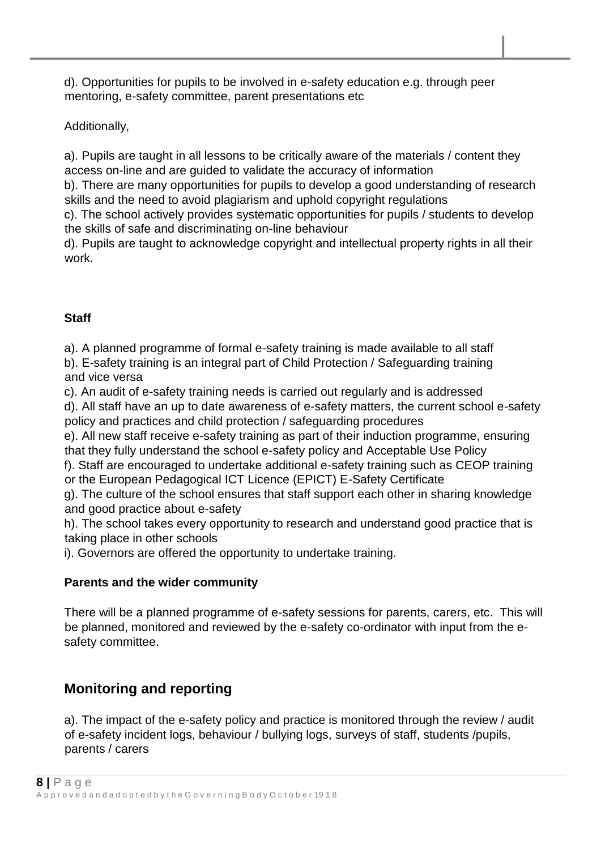d). Opportunities for pupils to be involved in e-safety education e.g. through peer mentoring, e-safety committee, parent presentations etc

Additionally,

a). Pupils are taught in all lessons to be critically aware of the materials / content they access on-line and are guided to validate the accuracy of information

b). There are many opportunities for pupils to develop a good understanding of research skills and the need to avoid plagiarism and uphold copyright regulations

c). The school actively provides systematic opportunities for pupils / students to develop the skills of safe and discriminating on-line behaviour

d). Pupils are taught to acknowledge copyright and intellectual property rights in all their work.

#### **Staff**

a). A planned programme of formal e-safety training is made available to all staff

b). E-safety training is an integral part of Child Protection / Safeguarding training and vice versa

c). An audit of e-safety training needs is carried out regularly and is addressed

d). All staff have an up to date awareness of e-safety matters, the current school e-safety policy and practices and child protection / safeguarding procedures

e). All new staff receive e-safety training as part of their induction programme, ensuring that they fully understand the school e-safety policy and Acceptable Use Policy

f). Staff are encouraged to undertake additional e-safety training such as CEOP training or the European Pedagogical ICT Licence (EPICT) E-Safety Certificate

g). The culture of the school ensures that staff support each other in sharing knowledge and good practice about e-safety

h). The school takes every opportunity to research and understand good practice that is taking place in other schools

i). Governors are offered the opportunity to undertake training.

#### **Parents and the wider community**

There will be a planned programme of e-safety sessions for parents, carers, etc. This will be planned, monitored and reviewed by the e-safety co-ordinator with input from the esafety committee.

## **Monitoring and reporting**

a). The impact of the e-safety policy and practice is monitored through the review / audit of e-safety incident logs, behaviour / bullying logs, surveys of staff, students /pupils, parents / carers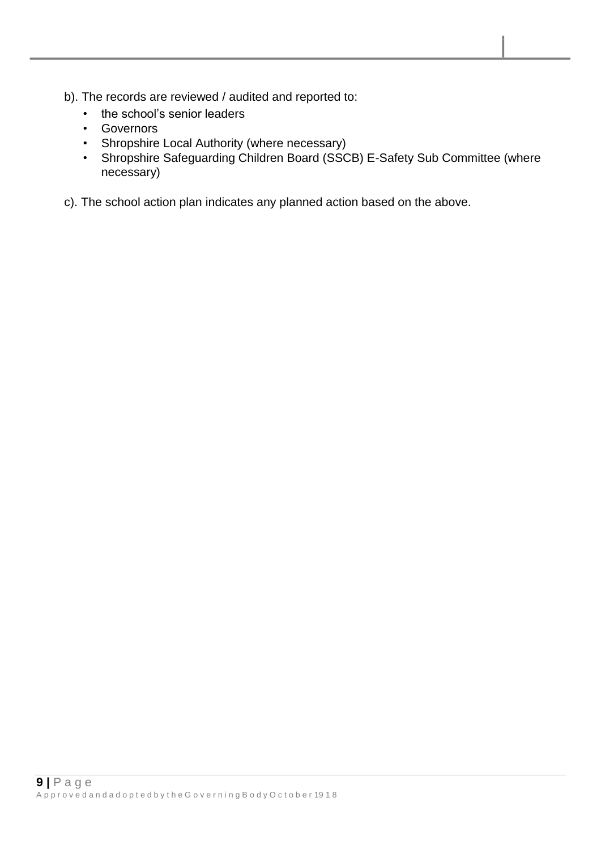- b). The records are reviewed / audited and reported to:
	- the school's senior leaders
	- Governors
	- Shropshire Local Authority (where necessary)
	- Shropshire Safeguarding Children Board (SSCB) E-Safety Sub Committee (where necessary)
- c). The school action plan indicates any planned action based on the above.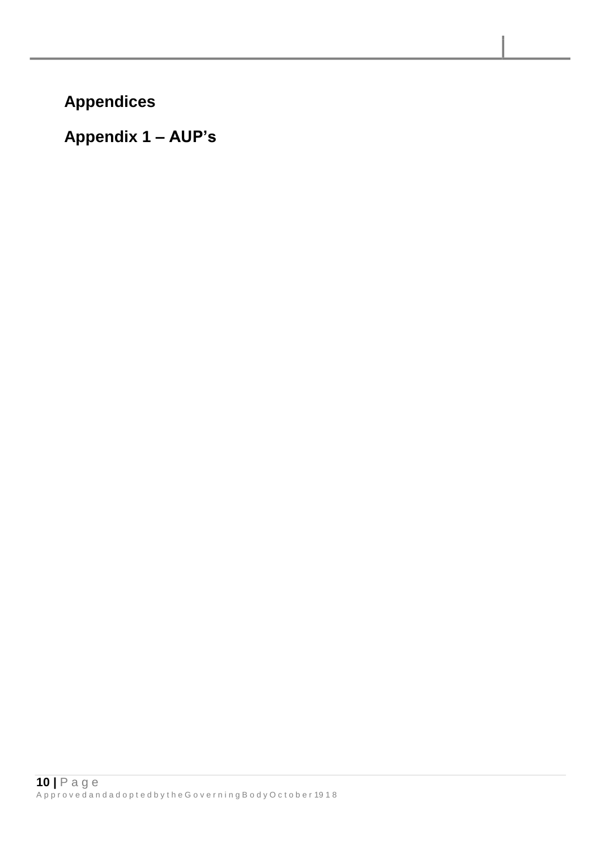**Appendices** 

**Appendix 1 – AUP's**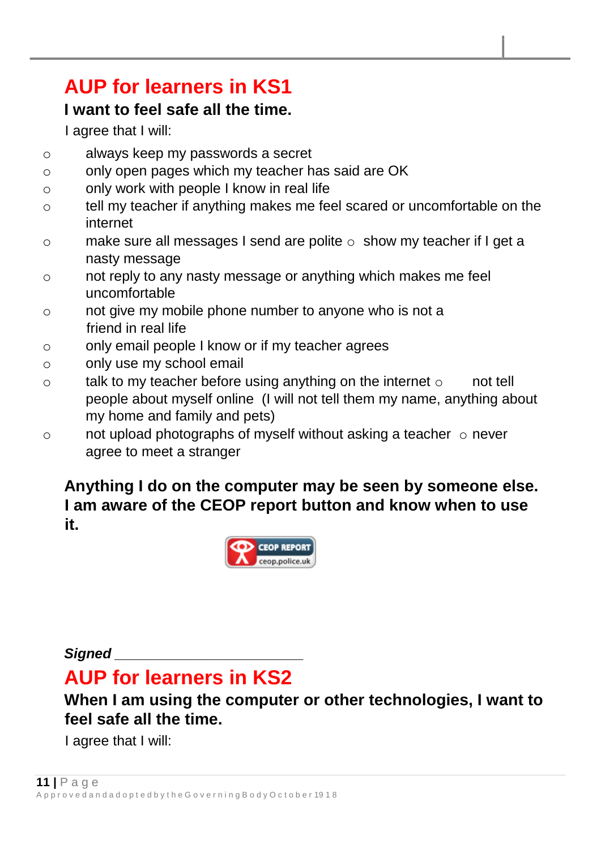# **AUP for learners in KS1**

# **I want to feel safe all the time.**

I agree that I will:

- o always keep my passwords a secret
- o only open pages which my teacher has said are OK
- o only work with people I know in real life
- o tell my teacher if anything makes me feel scared or uncomfortable on the internet
- $\circ$  make sure all messages I send are polite  $\circ$  show my teacher if I get a nasty message
- o not reply to any nasty message or anything which makes me feel uncomfortable
- o not give my mobile phone number to anyone who is not a friend in real life
- o only email people I know or if my teacher agrees
- o only use my school email
- $\circ$  talk to my teacher before using anything on the internet  $\circ$  not tell people about myself online (I will not tell them my name, anything about my home and family and pets)
- $\circ$  not upload photographs of myself without asking a teacher  $\circ$  never agree to meet a stranger

**Anything I do on the computer may be seen by someone else. I am aware of the CEOP report button and know when to use it.** 



*Signed \_\_\_\_\_\_\_\_\_\_\_\_\_\_\_\_\_\_\_\_\_\_\_\_*

# **AUP for learners in KS2**

# **When I am using the computer or other technologies, I want to feel safe all the time.**

I agree that I will: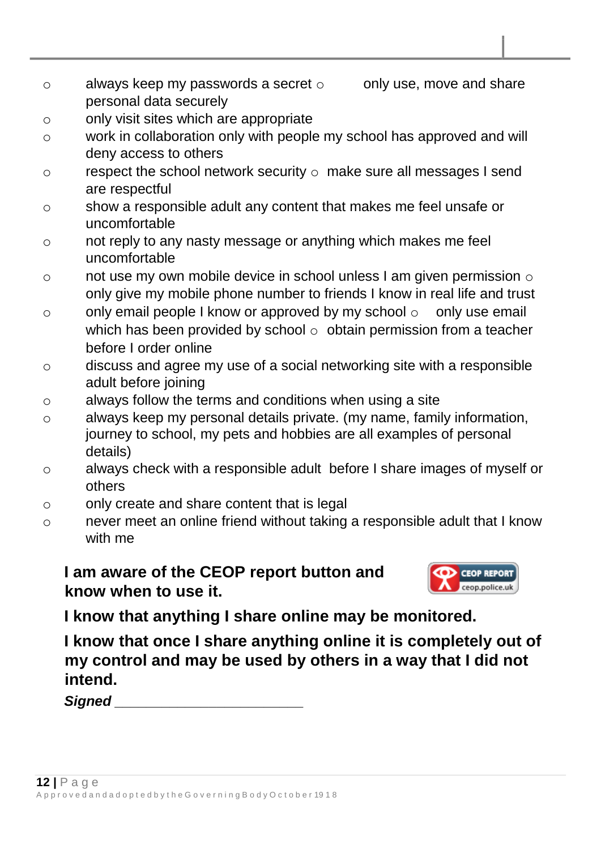- o always keep my passwords a secret  $\circ$  only use, move and share personal data securely
- o only visit sites which are appropriate
- o work in collaboration only with people my school has approved and will deny access to others
- o respect the school network security o make sure all messages I send are respectful
- o show a responsible adult any content that makes me feel unsafe or uncomfortable
- o not reply to any nasty message or anything which makes me feel uncomfortable
- $\circ$  not use my own mobile device in school unless I am given permission  $\circ$ only give my mobile phone number to friends I know in real life and trust
- o only email people I know or approved by my school  $\circ$  only use email which has been provided by school  $\circ$  obtain permission from a teacher before I order online
- o discuss and agree my use of a social networking site with a responsible adult before joining
- o always follow the terms and conditions when using a site
- o always keep my personal details private. (my name, family information, journey to school, my pets and hobbies are all examples of personal details)
- o always check with a responsible adult before I share images of myself or others
- o only create and share content that is legal
- o never meet an online friend without taking a responsible adult that I know with me

**I am aware of the CEOP report button and know when to use it.** 



**I know that anything I share online may be monitored.** 

**I know that once I share anything online it is completely out of my control and may be used by others in a way that I did not intend.** 

*Signed \_\_\_\_\_\_\_\_\_\_\_\_\_\_\_\_\_\_\_\_\_\_\_\_*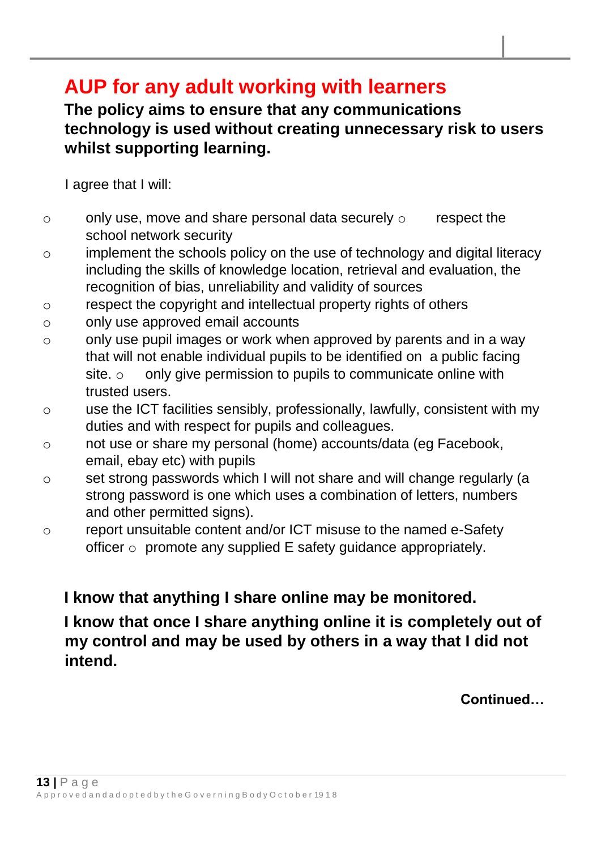# **AUP for any adult working with learners**

# **The policy aims to ensure that any communications technology is used without creating unnecessary risk to users whilst supporting learning.**

I agree that I will:

- $\circ$  only use, move and share personal data securely  $\circ$  respect the school network security
- o implement the schools policy on the use of technology and digital literacy including the skills of knowledge location, retrieval and evaluation, the recognition of bias, unreliability and validity of sources
- o respect the copyright and intellectual property rights of others
- o only use approved email accounts
- o only use pupil images or work when approved by parents and in a way that will not enable individual pupils to be identified on a public facing site.  $\circ$  only give permission to pupils to communicate online with trusted users.
- o use the ICT facilities sensibly, professionally, lawfully, consistent with my duties and with respect for pupils and colleagues.
- o not use or share my personal (home) accounts/data (eg Facebook, email, ebay etc) with pupils
- o set strong passwords which I will not share and will change regularly (a strong password is one which uses a combination of letters, numbers and other permitted signs).
- o report unsuitable content and/or ICT misuse to the named e-Safety officer  $\circ$  promote any supplied E safety quidance appropriately.

# **I know that anything I share online may be monitored.**

**I know that once I share anything online it is completely out of my control and may be used by others in a way that I did not intend.** 

**Continued…**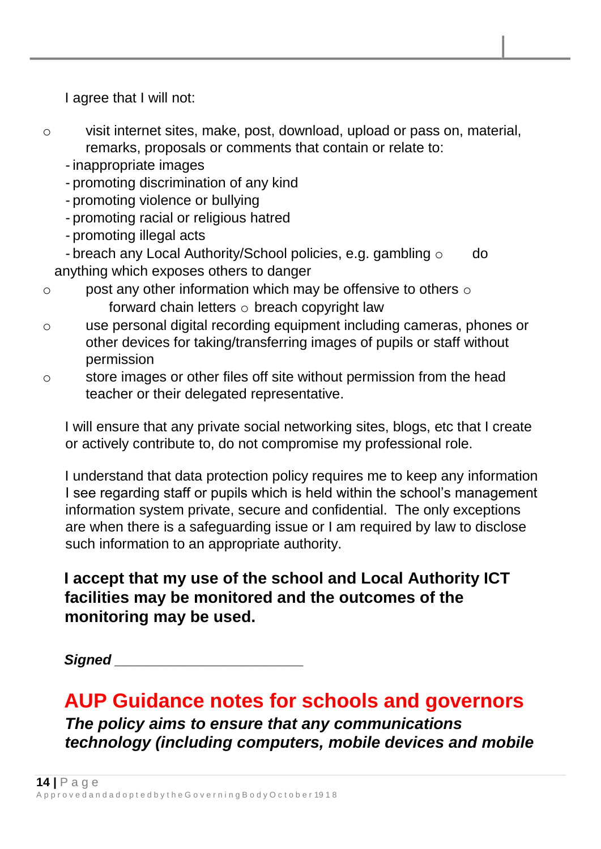I agree that I will not:

- o visit internet sites, make, post, download, upload or pass on, material, remarks, proposals or comments that contain or relate to:
	- inappropriate images
	- promoting discrimination of any kind
	- promoting violence or bullying
	- promoting racial or religious hatred
	- promoting illegal acts
	- breach any Local Authority/School policies, e.g. gambling  $\circ$  do anything which exposes others to danger
- o post any other information which may be offensive to others o forward chain letters  $\circ$  breach copyright law
- o use personal digital recording equipment including cameras, phones or other devices for taking/transferring images of pupils or staff without permission
- o store images or other files off site without permission from the head teacher or their delegated representative.

I will ensure that any private social networking sites, blogs, etc that I create or actively contribute to, do not compromise my professional role.

I understand that data protection policy requires me to keep any information I see regarding staff or pupils which is held within the school's management information system private, secure and confidential. The only exceptions are when there is a safeguarding issue or I am required by law to disclose such information to an appropriate authority.

# **I accept that my use of the school and Local Authority ICT facilities may be monitored and the outcomes of the monitoring may be used.**

*Signed \_\_\_\_\_\_\_\_\_\_\_\_\_\_\_\_\_\_\_\_\_\_\_\_*

# **AUP Guidance notes for schools and governors**

*The policy aims to ensure that any communications technology (including computers, mobile devices and mobile*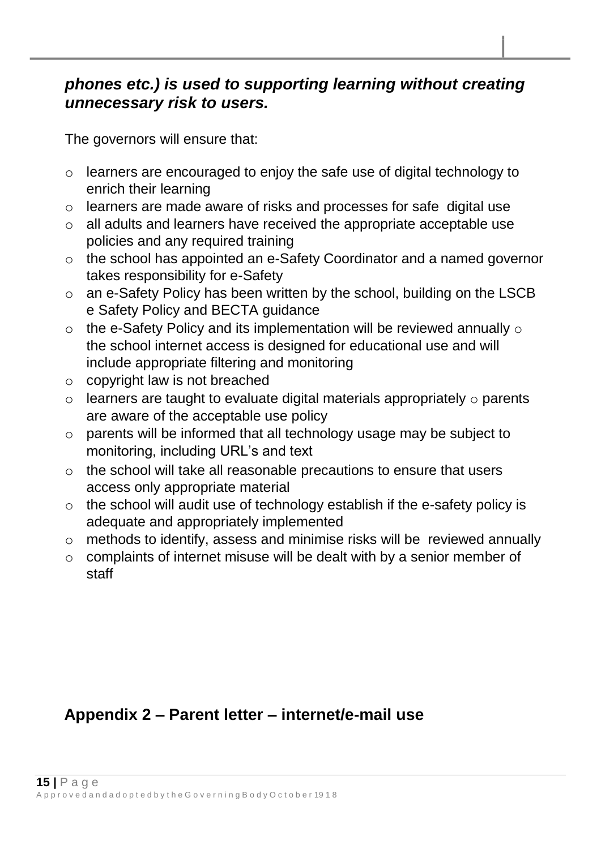## *phones etc.) is used to supporting learning without creating unnecessary risk to users.*

The governors will ensure that:

- o learners are encouraged to enjoy the safe use of digital technology to enrich their learning
- o learners are made aware of risks and processes for safe digital use
- o all adults and learners have received the appropriate acceptable use policies and any required training
- o the school has appointed an e-Safety Coordinator and a named governor takes responsibility for e-Safety
- o an e-Safety Policy has been written by the school, building on the LSCB e Safety Policy and BECTA guidance
- $\circ$  the e-Safety Policy and its implementation will be reviewed annually  $\circ$ the school internet access is designed for educational use and will include appropriate filtering and monitoring
- o copyright law is not breached
- $\circ$  learners are taught to evaluate digital materials appropriately  $\circ$  parents are aware of the acceptable use policy
- o parents will be informed that all technology usage may be subject to monitoring, including URL's and text
- o the school will take all reasonable precautions to ensure that users access only appropriate material
- o the school will audit use of technology establish if the e-safety policy is adequate and appropriately implemented
- o methods to identify, assess and minimise risks will be reviewed annually
- o complaints of internet misuse will be dealt with by a senior member of staff

# **Appendix 2 – Parent letter – internet/e-mail use**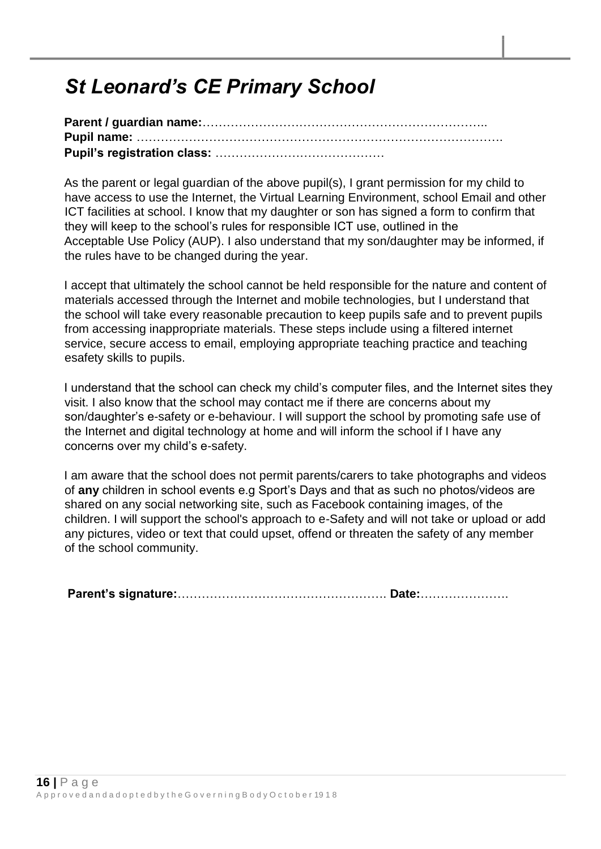# *St Leonard's CE Primary School*

As the parent or legal guardian of the above pupil(s), I grant permission for my child to have access to use the Internet, the Virtual Learning Environment, school Email and other ICT facilities at school. I know that my daughter or son has signed a form to confirm that they will keep to the school's rules for responsible ICT use, outlined in the Acceptable Use Policy (AUP). I also understand that my son/daughter may be informed, if the rules have to be changed during the year.

I accept that ultimately the school cannot be held responsible for the nature and content of materials accessed through the Internet and mobile technologies, but I understand that the school will take every reasonable precaution to keep pupils safe and to prevent pupils from accessing inappropriate materials. These steps include using a filtered internet service, secure access to email, employing appropriate teaching practice and teaching esafety skills to pupils.

I understand that the school can check my child's computer files, and the Internet sites they visit. I also know that the school may contact me if there are concerns about my son/daughter's e-safety or e-behaviour. I will support the school by promoting safe use of the Internet and digital technology at home and will inform the school if I have any concerns over my child's e-safety.

I am aware that the school does not permit parents/carers to take photographs and videos of **any** children in school events e.g Sport's Days and that as such no photos/videos are shared on any social networking site, such as Facebook containing images, of the children. I will support the school's approach to e-Safety and will not take or upload or add any pictures, video or text that could upset, offend or threaten the safety of any member of the school community.

**Parent's signature:**……………………………………………. **Date:**………………….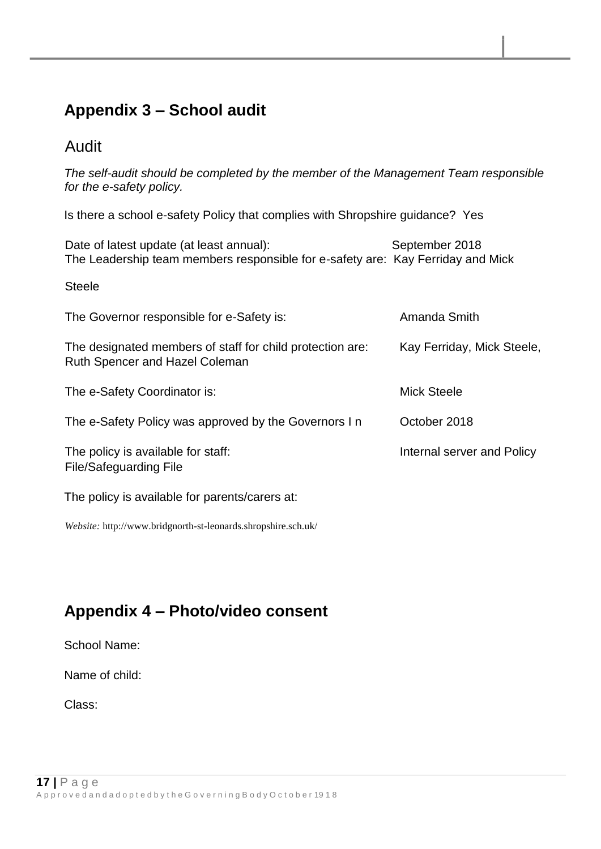# **Appendix 3 – School audit**

## Audit

*The self-audit should be completed by the member of the Management Team responsible for the e-safety policy.* 

Is there a school e-safety Policy that complies with Shropshire guidance? Yes

Date of latest update (at least annual): September 2018 The Leadership team members responsible for e-safety are: Kay Ferriday and Mick

Steele

| The Governor responsible for e-Safety is:                                                          | Amanda Smith               |
|----------------------------------------------------------------------------------------------------|----------------------------|
| The designated members of staff for child protection are:<br><b>Ruth Spencer and Hazel Coleman</b> | Kay Ferriday, Mick Steele, |
| The e-Safety Coordinator is:                                                                       | Mick Steele                |
| The e-Safety Policy was approved by the Governors In                                               | October 2018               |
| The policy is available for staff:<br>File/Safeguarding File                                       | Internal server and Policy |

The policy is available for parents/carers at:

*Website:* http://www.bridgnorth-st-leonards.shropshire.sch.uk/

# **Appendix 4 – Photo/video consent**

School Name:

Name of child:

Class: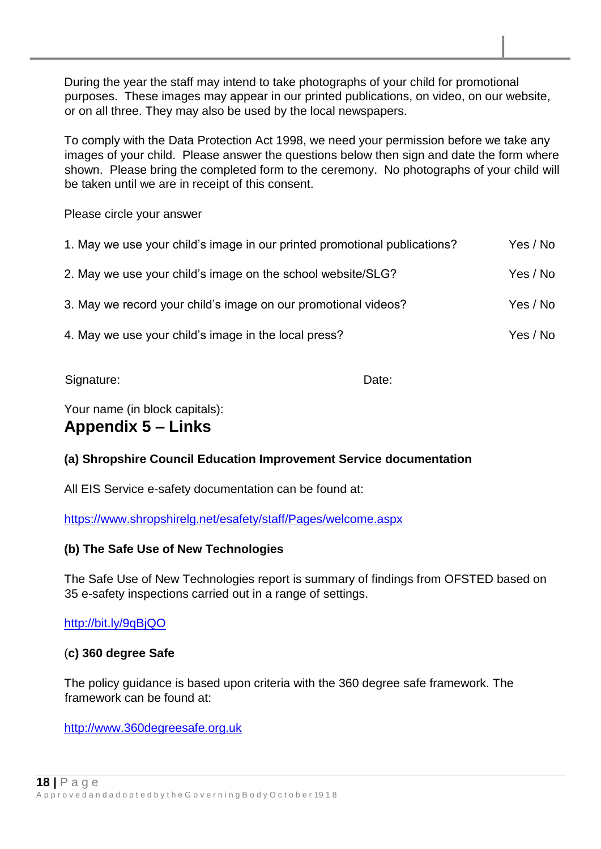During the year the staff may intend to take photographs of your child for promotional purposes. These images may appear in our printed publications, on video, on our website, or on all three. They may also be used by the local newspapers.

To comply with the Data Protection Act 1998, we need your permission before we take any images of your child. Please answer the questions below then sign and date the form where shown. Please bring the completed form to the ceremony. No photographs of your child will be taken until we are in receipt of this consent.

Please circle your answer

| 1. May we use your child's image in our printed promotional publications? | Yes / No |
|---------------------------------------------------------------------------|----------|
| 2. May we use your child's image on the school website/SLG?               | Yes / No |
| 3. May we record your child's image on our promotional videos?            | Yes / No |
| 4. May we use your child's image in the local press?                      | Yes / No |

Signature: Date: Date: Date: Date: Date: Date: Date: Date: Date: Date: Date: Date: Date: Date: Date: Date: Date: Date: Date: Date: Date: Date: Date: Date: Date: Date: Date: Date: Date: Date: Date: Date: Date: Date: Date: D

Your name (in block capitals):

## **Appendix 5 – Links**

#### **(a) Shropshire Council Education Improvement Service documentation**

All EIS Service e-safety documentation can be found at:

<https://www.shropshirelg.net/esafety/staff/Pages/welcome.aspx>

#### **(b) The Safe Use of New Technologies**

The Safe Use of New Technologies report is summary of findings from OFSTED based on 35 e-safety inspections carried out in a range of settings.

#### <http://bit.ly/9qBjQO>

#### (**c) 360 degree Safe**

The policy guidance is based upon criteria with the 360 degree safe framework. The framework can be found at:

[http://www.360degreesafe.org.uk](http://www.360degreesafe.org.uk/)